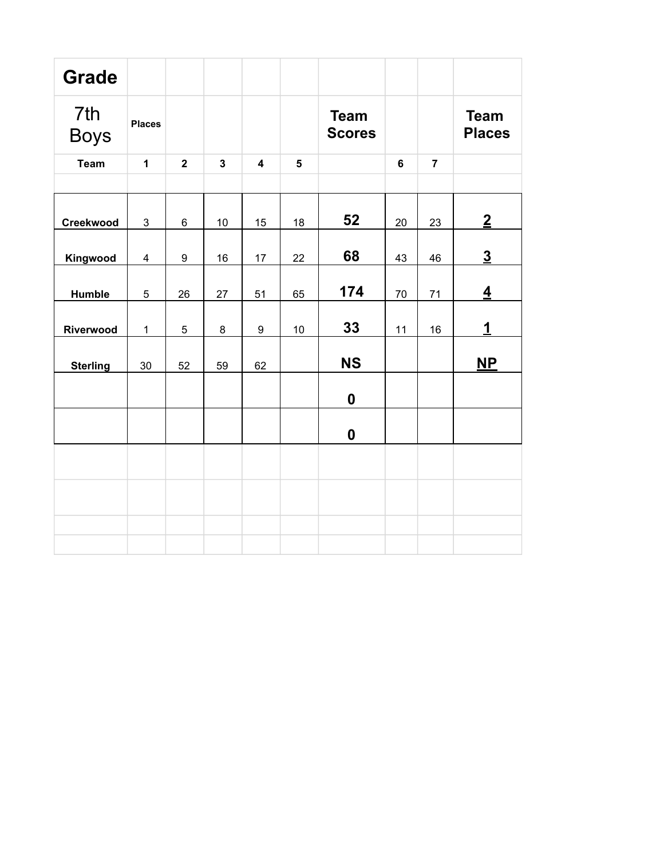| <b>Grade</b>       |                |                |                         |                         |                         |                              |                |                |                              |
|--------------------|----------------|----------------|-------------------------|-------------------------|-------------------------|------------------------------|----------------|----------------|------------------------------|
| 7th<br><b>Boys</b> | <b>Places</b>  |                |                         |                         |                         | <b>Team</b><br><b>Scores</b> |                |                | <b>Team</b><br><b>Places</b> |
| <b>Team</b>        | $\mathbf{1}$   | $\overline{2}$ | $\overline{\mathbf{3}}$ | $\overline{\mathbf{4}}$ | $\overline{\mathbf{5}}$ |                              | $6\phantom{a}$ | $\overline{7}$ |                              |
|                    |                |                |                         |                         |                         |                              |                |                |                              |
| Creekwood          | $\mathbf{3}$   | $\,6$          | 10                      | 15                      | 18                      | 52                           | 20             | 23             | $\overline{2}$               |
| Kingwood           | 4              | 9              | 16                      | 17                      | 22                      | 68                           | 43             | 46             | $\underline{3}$              |
| <b>Humble</b>      | $\overline{5}$ | 26             | 27                      | 51                      | 65                      | 174                          | 70             | 71             | $\overline{4}$               |
| Riverwood          | $\mathbf 1$    | $\overline{5}$ | 8                       | $\boldsymbol{9}$        | 10                      | 33                           | 11             | 16             | $\mathbf{1}$                 |
| <b>Sterling</b>    | $30\,$         | 52             | 59                      | 62                      |                         | <b>NS</b>                    |                |                | $\overline{\mathsf{NP}}$     |
|                    |                |                |                         |                         |                         | $\boldsymbol{0}$             |                |                |                              |
|                    |                |                |                         |                         |                         | $\boldsymbol{0}$             |                |                |                              |
|                    |                |                |                         |                         |                         |                              |                |                |                              |
|                    |                |                |                         |                         |                         |                              |                |                |                              |
|                    |                |                |                         |                         |                         |                              |                |                |                              |
|                    |                |                |                         |                         |                         |                              |                |                |                              |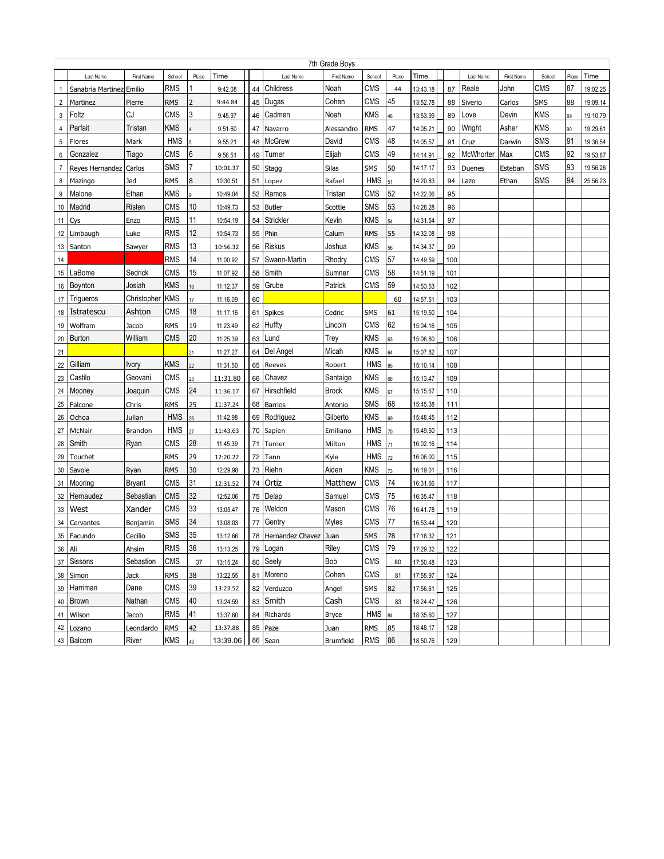|                | 7th Grade Boys           |               |            |                 |                      |    |                         |                  |                   |       |          |     |           |            |            |       |          |
|----------------|--------------------------|---------------|------------|-----------------|----------------------|----|-------------------------|------------------|-------------------|-------|----------|-----|-----------|------------|------------|-------|----------|
|                | Last Name                | First Name    | School     | Place           | Time                 |    | Last Name               | First Name       | School            | Place | Time     |     | Last Name | First Name | School     | Place | Time     |
| 1              | Sanabria Martinez Emilio |               | RMS        |                 | 9:42.08              | 44 | Childress               | Noah             | <b>CMS</b>        | 44    | 13:43.18 | 87  | Reale     | John       | CMS        | 87    | 19:02.25 |
| $\overline{2}$ | Martinez                 | Pierre        | <b>RMS</b> | 2               | 9:44.84              | 45 | Dugas                   | Cohen            | CMS               | 45    | 13:52.78 | 88  | Siverio   | Carlos     | SMS        | 88    | 19:09.14 |
| 3              | Foltz                    | CJ            | <b>CMS</b> | 3               | 9:45.97              | 46 | Cadmen                  | Noah             | <b>KMS</b>        | 46    | 13:53.99 | 89  | Love      | Devin      | KMS        | 89    | 19:10.79 |
| 4              | Parfait                  | Tristan       | <b>KMS</b> |                 | 9:51.60              | 47 | Navarro                 | Alessandro       | <b>RMS</b>        | 47    | 14:05.21 | 90  | Wright    | Asher      | <b>KMS</b> | 90    | 19:29.61 |
| 5              | Flores                   | Mark          | <b>HMS</b> |                 | 9:55.21              | 48 | <b>McGrew</b>           | David            | <b>CMS</b>        | 48    | 14:05.57 | 91  | Cruz      | Darwin     | SMS        | 91    | 19:36.54 |
| 6              | Gonzalez                 | Tiago         | <b>CMS</b> | 6               | 9:56.51              | 49 | Turner                  | Elijah           | <b>CMS</b>        | 49    | 14:14.91 | 92  | McWhorter | Max        | CMS        | 92    | 19:53.87 |
| $\overline{7}$ | Reyes Hernandez          | Carlos        | <b>SMS</b> | 7               | 10:01.37             | 50 | Stagg                   | Silas            | <b>SMS</b>        | 50    | 14:17.17 | 93  | Duenes    | Esteban    | SMS        | 93    | 19:56.26 |
| 8              | Mazingo                  | Jed           | <b>RMS</b> | 8               | 10:30.51             | 51 | Lopez                   | Rafael           | <b>HMS</b>        | 51    | 14:20.83 | 94  | Lazo      | Ethan      | <b>SMS</b> | 94    | 25:56.23 |
| 9              | Malone                   | Ethan         | <b>KMS</b> | 9               | 10:49.04             | 52 | Ramos                   | Tristan          | CMS               | 52    | 14:22.06 | 95  |           |            |            |       |          |
| 10             | Madrid                   | Risten        | <b>CMS</b> | 10              | 10:49.73             | 53 | <b>Butler</b>           | Scottie          | <b>SMS</b>        | 53    | 14:28.28 | 96  |           |            |            |       |          |
| 11             | Cys                      | Enzo          | <b>RMS</b> | 11              | 10:54.19             | 54 | Strickler               | Kevin            | <b>KMS</b>        | 54    | 14:31.54 | 97  |           |            |            |       |          |
| 12             | Limbaugh                 | Luke          | <b>RMS</b> | 12              | 10:54.73             | 55 | Phin                    | Calum            | <b>RMS</b>        | 55    | 14:32.08 | 98  |           |            |            |       |          |
| 13             | Santon                   | Sawyer        | <b>RMS</b> | 13              | 10:56.32             | 56 | <b>Riskus</b>           | Joshua           | <b>KMS</b>        | 56    | 14:34.37 | 99  |           |            |            |       |          |
| 14             |                          |               | <b>RMS</b> | 14              | 11:00.92             | 57 | Swann-Martin            | Rhodry           | <b>CMS</b>        | 57    | 14:49.59 | 100 |           |            |            |       |          |
| 15             | LaBome                   | Sedrick       | CMS        | 15              | 11:07.92             | 58 | Smith                   | Sumner           | <b>CMS</b>        | 58    | 14:51.19 | 101 |           |            |            |       |          |
| 16             | Boynton                  | Josiah        | <b>KMS</b> | 16              | 11:12.37             | 59 | Grube                   | Patrick          | CMS               | 59    | 14:53.53 | 102 |           |            |            |       |          |
| 17             | Triqueros                | Christopher   | <b>KMS</b> | 17              | 11:16.09             | 60 |                         |                  |                   | 60    | 14:57.51 | 103 |           |            |            |       |          |
| 18             | Istratescu               | Ashton        | CMS        | 18              | 11:17.16             | 61 | Spikes                  | Cedric           | <b>SMS</b>        | 61    | 15:19.50 | 104 |           |            |            |       |          |
| 19             | Wolfram                  | Jacob         | <b>RMS</b> | 19              | 11:23.49             | 62 | Huffty                  | Lincoln          | <b>CMS</b>        | 62    | 15:04.16 | 105 |           |            |            |       |          |
| 20             | <b>Burton</b>            | William       | <b>CMS</b> | 20              | 11:25.39             | 63 | Lund                    | Trey             | <b>KMS</b>        | 63    | 15:06.80 | 106 |           |            |            |       |          |
| 21             |                          |               |            | 21              | 11:27.27             | 64 | Del Angel               | Micah            | <b>KMS</b>        | 64    | 15:07.82 | 107 |           |            |            |       |          |
| 22             | Gilliam                  | Ivory         | <b>KMS</b> | $\overline{22}$ | 11:31.50             | 65 | Reeves                  | Robert           | <b>HMS</b>        | 65    | 15:10.14 | 108 |           |            |            |       |          |
| 23             | Castilo                  | Geovani       | <b>CMS</b> | 23              | 11:31.80             | 66 | Chavez                  | Santaigo         | <b>KMS</b>        | 66    | 15:13.47 | 109 |           |            |            |       |          |
| 24             | Mooney                   | Joaquin       | <b>CMS</b> | 24              | 11:36.17             | 67 | Hirschfield             | <b>Brock</b>     | <b>KMS</b>        | 67    | 15:15.67 | 110 |           |            |            |       |          |
| 25             | Falcone                  | Chris         | <b>RMS</b> | 25              | 11:37.24             | 68 | <b>Barrios</b>          | Antonio          | SMS               | 68    | 15:45.38 | 111 |           |            |            |       |          |
| 26             | Ochoa                    | Julian        | <b>HMS</b> | 26              | 11:42.98             | 69 | Rodriguez               | Gilberto         | <b>KMS</b>        | 69    | 15:48.45 | 112 |           |            |            |       |          |
| 27             | McNair                   | Brandon       | <b>HMS</b> | 27              | 11:43.63             | 70 | Sapien                  | Emiliano         | <b>HMS</b>        | 70    | 15:49.50 | 113 |           |            |            |       |          |
| 28             | Smith                    | Ryan          | CMS        | 28              | 11:45.39             | 71 | Turner                  | Milton           | <b>HMS</b>        | 71    | 16:02.16 | 114 |           |            |            |       |          |
| 29             | Touchet                  |               | <b>RMS</b> | 29              | 12:20.22             | 72 | Tann                    | Kyle             | <b>HMS</b>        | 72    | 16:06.00 | 115 |           |            |            |       |          |
| 30             | Savoie                   | Ryan          | <b>RMS</b> | 30              | 12:29.98             | 73 | Riehn                   | Aiden            | <b>KMS</b>        | 73    | 16:19.01 | 116 |           |            |            |       |          |
| 31             | Mooring                  | <b>Bryant</b> | CMS        | 31              | 12:31.52             | 74 | Ortiz                   | Matthew          | CMS               | 74    | 16:31.66 | 117 |           |            |            |       |          |
| 32             | Hernaudez                | Sebastian     | <b>CMS</b> | 32              | 12:52.06             | 75 | Delap                   | Samuel           | CMS               | 75    | 16:35.47 | 118 |           |            |            |       |          |
| 33             | West                     | Xander        | CMS        | 33              | 13:05.47             |    | 76 Weldon               | Mason            | CMS               | 76    | 16:41.78 | 119 |           |            |            |       |          |
| 34             | Cervantes                | Benjamin      | <b>SMS</b> | 34              | 13:08.03             | 77 | Gentry                  | Myles            | CMS               | 77    | 16:53.44 | 120 |           |            |            |       |          |
|                | 35   Facundo             | Cecilio       | SMS        | 35              | 13:12.66             |    | 78 Hernandez Chavez     | Juan             | <b>SMS</b>        | 78    | 17:18.32 | 121 |           |            |            |       |          |
| 36 Ali         |                          | Ahsim         | RMS        | 36              | 13:13.25             |    | 79 Logan                | Riley            | CMS               | 79    | 17:29.32 | 122 |           |            |            |       |          |
|                | 37 Sissons               | Sebastion     | <b>CMS</b> |                 |                      |    | 80 Seely                | Bob              | CMS               |       |          |     |           |            |            |       |          |
|                | 38 Simon                 |               | <b>RMS</b> | 37              | 13:15.24<br>13:22.55 |    | 81 Moreno               | Cohen            | <b>CMS</b>        | 80    | 17:50.48 | 123 |           |            |            |       |          |
|                | 39 Harriman              | Jack          | <b>CMS</b> | 38<br>39        |                      |    |                         |                  |                   | 81    | 17:55.97 | 124 |           |            |            |       |          |
|                |                          | Dane          | <b>CMS</b> | 40              | 13:23.52             |    | 82 Verduzco<br>83 Smith | Angel<br>Cash    | SMS<br><b>CMS</b> | 82    | 17:56.61 | 125 |           |            |            |       |          |
|                | 40 Brown                 | Nathan        |            |                 | 13:24.59             |    |                         |                  |                   | 83    | 18:24.47 | 126 |           |            |            |       |          |
|                | 41 Wilson                | Jacob         | RMS        | 41              | 13:37.60             |    | 84 Richards             | Bryce            | <b>HMS</b>        | 84    | 18:35.60 | 127 |           |            |            |       |          |
|                | 42 Lozano                | Leondardo     | <b>RMS</b> | 42              | 13:37.88             |    | 85   Paze               | Juan             | <b>RMS</b>        | 85    | 18:48.17 | 128 |           |            |            |       |          |
|                | 43 Balcom                | River         | <b>KMS</b> | 43              | 13:39.06             |    | 86 Sean                 | <b>Brumfield</b> | RMS   86          |       | 18:50.76 | 129 |           |            |            |       |          |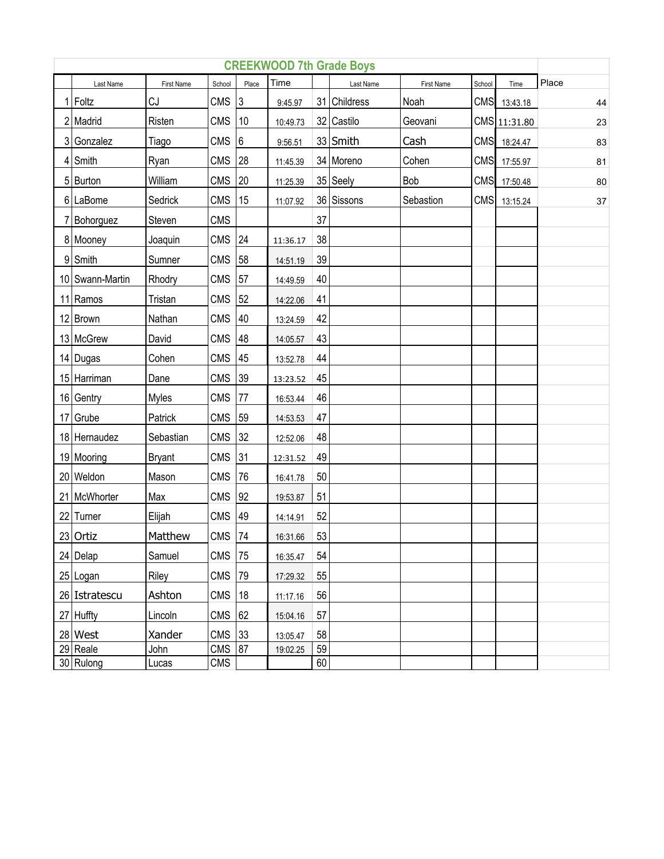| <b>CREEKWOOD 7th Grade Boys</b> |                 |               |            |                 |          |    |              |            |        |              |        |  |
|---------------------------------|-----------------|---------------|------------|-----------------|----------|----|--------------|------------|--------|--------------|--------|--|
|                                 | Last Name       | First Name    | School     | Place           | Time     |    | Last Name    | First Name | School | Time         | Place  |  |
|                                 | $1$ Foltz       | CJ            | <b>CMS</b> | $ 3\rangle$     | 9:45.97  |    | 31 Childress | Noah       |        | CMS 13:43.18 | 44     |  |
|                                 | 2 Madrid        | Risten        | <b>CMS</b> | 10              | 10:49.73 |    | 32 Castilo   | Geovani    |        | CMS 11:31.80 | 23     |  |
|                                 | 3 Gonzalez      | Tiago         | <b>CMS</b> | $6\phantom{.}6$ | 9:56.51  |    | 33 Smith     | Cash       |        | CMS 18:24.47 | 83     |  |
|                                 | 4 Smith         | Ryan          | <b>CMS</b> | 28              | 11:45.39 |    | 34 Moreno    | Cohen      |        | CMS 17:55.97 | 81     |  |
|                                 | 5 Burton        | William       | <b>CMS</b> | 20              | 11:25.39 |    | 35 Seely     | Bob        |        | CMS 17:50.48 | 80     |  |
|                                 | 6 LaBome        | Sedrick       | <b>CMS</b> | 15              | 11:07.92 |    | 36 Sissons   | Sebastion  | CMS    | 13:15.24     | $37\,$ |  |
|                                 | 7 Bohorguez     | Steven        | <b>CMS</b> |                 |          | 37 |              |            |        |              |        |  |
|                                 | 8 Mooney        | Joaquin       | <b>CMS</b> | 24              | 11:36.17 | 38 |              |            |        |              |        |  |
|                                 | 9 Smith         | Sumner        | <b>CMS</b> | 58              | 14:51.19 | 39 |              |            |        |              |        |  |
|                                 | 10 Swann-Martin | Rhodry        | <b>CMS</b> | 57              | 14:49.59 | 40 |              |            |        |              |        |  |
|                                 | 11 Ramos        | Tristan       | <b>CMS</b> | 52              | 14:22.06 | 41 |              |            |        |              |        |  |
|                                 | 12 Brown        | Nathan        | <b>CMS</b> | 40              | 13:24.59 | 42 |              |            |        |              |        |  |
|                                 | 13 McGrew       | David         | <b>CMS</b> | 48              | 14:05.57 | 43 |              |            |        |              |        |  |
|                                 | 14 Dugas        | Cohen         | <b>CMS</b> | 45              | 13:52.78 | 44 |              |            |        |              |        |  |
|                                 | 15 Harriman     | Dane          | <b>CMS</b> | 39              | 13:23.52 | 45 |              |            |        |              |        |  |
|                                 | 16 Gentry       | Myles         | <b>CMS</b> | 77              | 16:53.44 | 46 |              |            |        |              |        |  |
|                                 | 17 Grube        | Patrick       | <b>CMS</b> | 59              | 14:53.53 | 47 |              |            |        |              |        |  |
|                                 | 18 Hernaudez    | Sebastian     | <b>CMS</b> | 32              | 12:52.06 | 48 |              |            |        |              |        |  |
|                                 | 19 Mooring      | <b>Bryant</b> | <b>CMS</b> | 31              | 12:31.52 | 49 |              |            |        |              |        |  |
|                                 | 20 Weldon       | Mason         | <b>CMS</b> | 76              | 16:41.78 | 50 |              |            |        |              |        |  |
|                                 | 21 McWhorter    | Max           | <b>CMS</b> | 92              | 19:53.87 | 51 |              |            |        |              |        |  |
|                                 | 22 Turner       | Elijah        | <b>CMS</b> | 49              | 14:14.91 | 52 |              |            |        |              |        |  |
|                                 | 23 Ortiz        | Matthew       | <b>CMS</b> | 74              | 16:31.66 | 53 |              |            |        |              |        |  |
|                                 | 24 Delap        | Samuel        | CMS        | 75              | 16:35.47 | 54 |              |            |        |              |        |  |
|                                 | 25 Logan        | Riley         | <b>CMS</b> | 79              | 17:29.32 | 55 |              |            |        |              |        |  |
|                                 | 26 Istratescu   | Ashton        | <b>CMS</b> | 18              | 11:17.16 | 56 |              |            |        |              |        |  |
|                                 | 27 Huffty       | Lincoln       | <b>CMS</b> | 62              | 15:04.16 | 57 |              |            |        |              |        |  |
|                                 | 28 West         | Xander        | <b>CMS</b> | 33              | 13:05.47 | 58 |              |            |        |              |        |  |
|                                 | 29 Reale        | John          | <b>CMS</b> | 87              | 19:02.25 | 59 |              |            |        |              |        |  |
|                                 | 30 Rulong       | Lucas         | <b>CMS</b> |                 |          | 60 |              |            |        |              |        |  |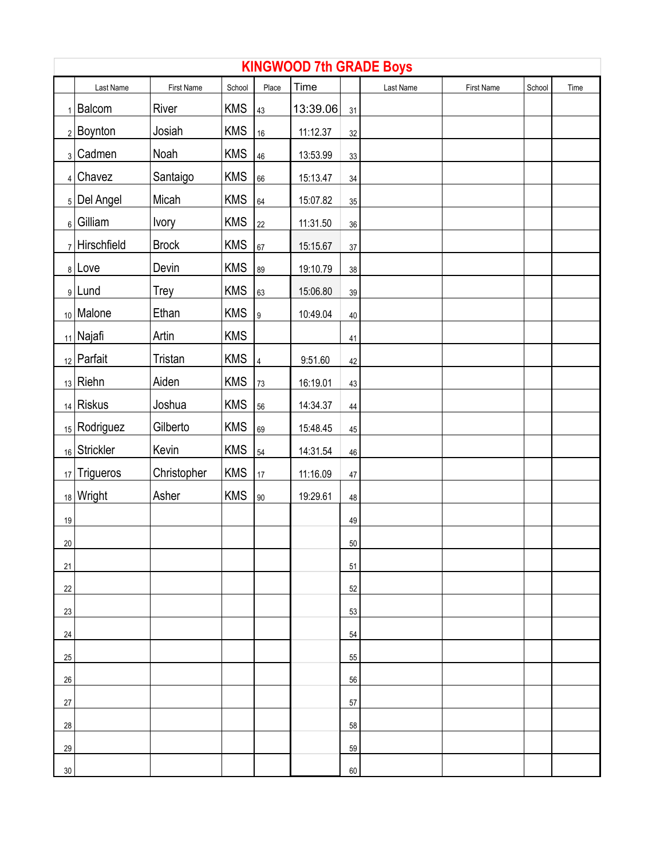|        | <b>KINGWOOD 7th GRADE Boys</b> |              |            |                |          |        |           |            |        |      |  |  |
|--------|--------------------------------|--------------|------------|----------------|----------|--------|-----------|------------|--------|------|--|--|
|        | Last Name                      | First Name   | School     | Place          | Time     |        | Last Name | First Name | School | Time |  |  |
|        | $_1$   Balcom                  | River        | <b>KMS</b> | 43             | 13:39.06 | 31     |           |            |        |      |  |  |
|        | $2$ Boynton                    | Josiah       | <b>KMS</b> | 16             | 11:12.37 | $32\,$ |           |            |        |      |  |  |
|        | 3 Cadmen                       | Noah         | <b>KMS</b> | 46             | 13:53.99 | 33     |           |            |        |      |  |  |
|        | $4$ Chavez                     | Santaigo     | <b>KMS</b> | 66             | 15:13.47 | $34\,$ |           |            |        |      |  |  |
|        | 5 Del Angel                    | Micah        | <b>KMS</b> | 64             | 15:07.82 | $35\,$ |           |            |        |      |  |  |
|        | $_6$ Gilliam                   | <b>lvory</b> | <b>KMS</b> | 22             | 11:31.50 | $36\,$ |           |            |        |      |  |  |
|        | $7$ Hirschfield                | <b>Brock</b> | <b>KMS</b> | 67             | 15:15.67 | $37\,$ |           |            |        |      |  |  |
|        | $8$ Love                       | Devin        | <b>KMS</b> | 89             | 19:10.79 | 38     |           |            |        |      |  |  |
|        | 9Lund                          | Trey         | <b>KMS</b> | 63             | 15:06.80 | 39     |           |            |        |      |  |  |
|        | 10 Malone                      | Ethan        | <b>KMS</b> | 9              | 10:49.04 | 40     |           |            |        |      |  |  |
|        | $_{11}$   Najafi               | Artin        | <b>KMS</b> |                |          | 41     |           |            |        |      |  |  |
|        | $_{12}$ Parfait                | Tristan      | <b>KMS</b> | $\overline{4}$ | 9:51.60  | 42     |           |            |        |      |  |  |
|        | $_{13}$ Riehn                  | Aiden        | <b>KMS</b> | 73             | 16:19.01 | 43     |           |            |        |      |  |  |
|        | $_{14}$ Riskus                 | Joshua       | <b>KMS</b> | 56             | 14:34.37 | 44     |           |            |        |      |  |  |
|        | 15   Rodriguez                 | Gilberto     | <b>KMS</b> | 69             | 15:48.45 | 45     |           |            |        |      |  |  |
|        | 16 Strickler                   | Kevin        | <b>KMS</b> | 54             | 14:31.54 | 46     |           |            |        |      |  |  |
|        | 17 Trigueros                   | Christopher  | <b>KMS</b> | 17             | 11:16.09 | 47     |           |            |        |      |  |  |
|        | $_{18}$ Wright                 | Asher        | <b>KMS</b> | 90             | 19:29.61 | 48     |           |            |        |      |  |  |
| 19     |                                |              |            |                |          | 49     |           |            |        |      |  |  |
| 20     |                                |              |            |                |          | 50     |           |            |        |      |  |  |
| 21     |                                |              |            |                |          | 51     |           |            |        |      |  |  |
| 22     |                                |              |            |                |          | 52     |           |            |        |      |  |  |
| 23     |                                |              |            |                |          | 53     |           |            |        |      |  |  |
| 24     |                                |              |            |                |          | 54     |           |            |        |      |  |  |
| 25     |                                |              |            |                |          | 55     |           |            |        |      |  |  |
| 26     |                                |              |            |                |          | 56     |           |            |        |      |  |  |
| $27\,$ |                                |              |            |                |          | 57     |           |            |        |      |  |  |
| 28     |                                |              |            |                |          | 58     |           |            |        |      |  |  |
| 29     |                                |              |            |                |          | 59     |           |            |        |      |  |  |
| $30\,$ |                                |              |            |                |          | 60     |           |            |        |      |  |  |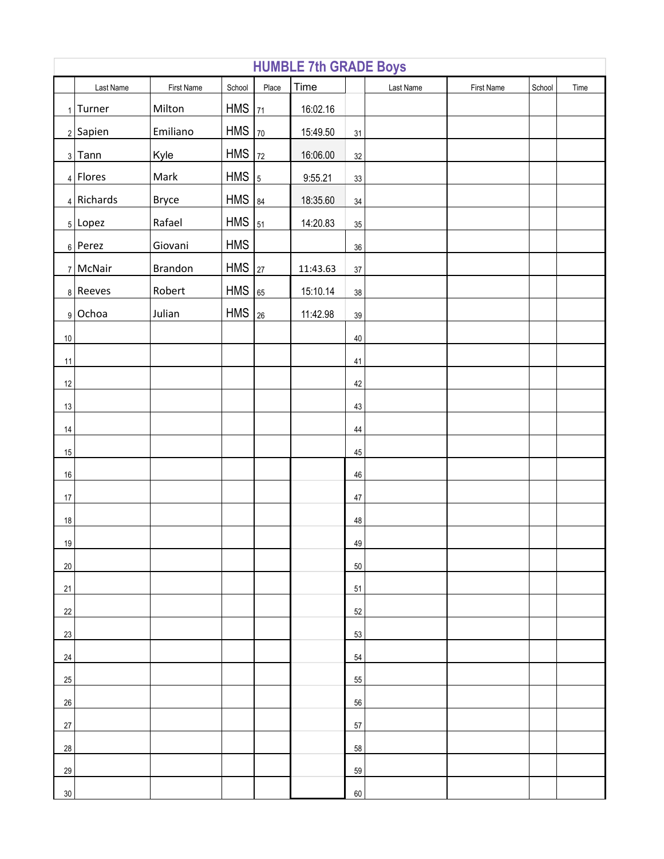| <b>HUMBLE 7th GRADE Boys</b> |              |            |            |                |          |        |           |            |        |      |  |
|------------------------------|--------------|------------|------------|----------------|----------|--------|-----------|------------|--------|------|--|
|                              | Last Name    | First Name | School     | Place          | Time     |        | Last Name | First Name | School | Time |  |
|                              | $1$ Turner   | Milton     | <b>HMS</b> | 71             | 16:02.16 |        |           |            |        |      |  |
|                              | $2$ Sapien   | Emiliano   | <b>HMS</b> | 70             | 15:49.50 | 31     |           |            |        |      |  |
|                              | $3$ Tann     | Kyle       | <b>HMS</b> | 72             | 16:06.00 | 32     |           |            |        |      |  |
|                              | $4$ Flores   | Mark       | <b>HMS</b> | $\overline{5}$ | 9:55.21  | $33\,$ |           |            |        |      |  |
|                              | $4$ Richards | Bryce      | <b>HMS</b> | 84             | 18:35.60 | $34\,$ |           |            |        |      |  |
|                              | $5$ Lopez    | Rafael     | <b>HMS</b> | 51             | 14:20.83 | $35\,$ |           |            |        |      |  |
|                              | $6$ Perez    | Giovani    | <b>HMS</b> |                |          | $36\,$ |           |            |        |      |  |
|                              | 7 McNair     | Brandon    | <b>HMS</b> | 27             | 11:43.63 | $37\,$ |           |            |        |      |  |
|                              | $8$ Reeves   | Robert     | <b>HMS</b> | 65             | 15:10.14 | $38\,$ |           |            |        |      |  |
|                              | 9 Ochoa      | Julian     | <b>HMS</b> | 26             | 11:42.98 | $39\,$ |           |            |        |      |  |
| 10                           |              |            |            |                |          | 40     |           |            |        |      |  |
| 11                           |              |            |            |                |          | 41     |           |            |        |      |  |
| 12                           |              |            |            |                |          | 42     |           |            |        |      |  |
| 13                           |              |            |            |                |          | 43     |           |            |        |      |  |
| $14$                         |              |            |            |                |          | 44     |           |            |        |      |  |
| $15\,$                       |              |            |            |                |          | 45     |           |            |        |      |  |
| $16\,$                       |              |            |            |                |          | 46     |           |            |        |      |  |
| $17\,$                       |              |            |            |                |          | 47     |           |            |        |      |  |
| $18\,$                       |              |            |            |                |          | 48     |           |            |        |      |  |
| 19                           |              |            |            |                |          | 49     |           |            |        |      |  |
| 20                           |              |            |            |                |          | $50\,$ |           |            |        |      |  |
| 21                           |              |            |            |                |          | 51     |           |            |        |      |  |
| 22                           |              |            |            |                |          | 52     |           |            |        |      |  |
| 23                           |              |            |            |                |          | 53     |           |            |        |      |  |
| 24                           |              |            |            |                |          | 54     |           |            |        |      |  |
| 25                           |              |            |            |                |          | 55     |           |            |        |      |  |
| 26                           |              |            |            |                |          | 56     |           |            |        |      |  |
| 27                           |              |            |            |                |          | 57     |           |            |        |      |  |
| 28                           |              |            |            |                |          | 58     |           |            |        |      |  |
| 29                           |              |            |            |                |          | 59     |           |            |        |      |  |
| $30\,$                       |              |            |            |                |          | 60     |           |            |        |      |  |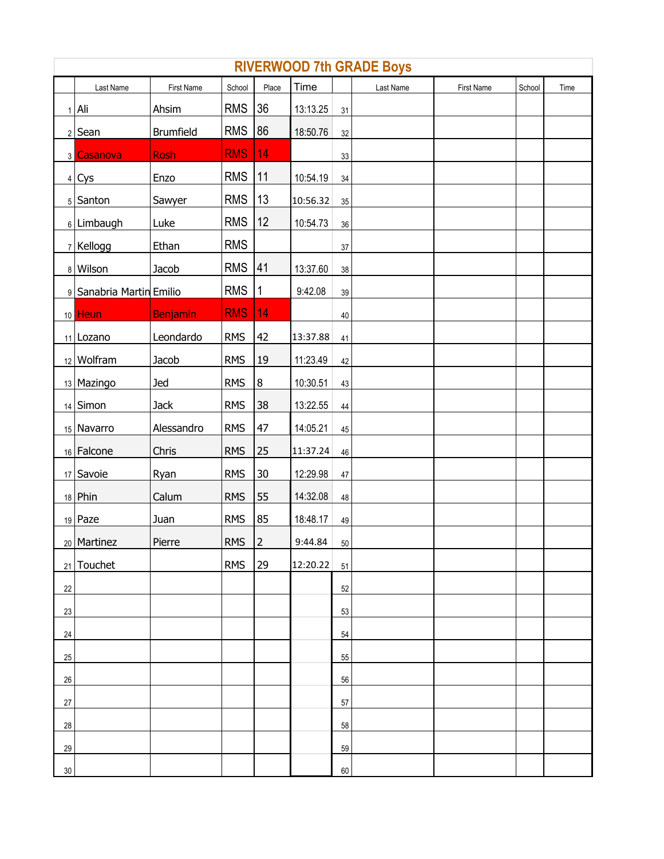|        | Last Name                | First Name       | School     | Place | Time     |        | <b>RIVERWOOD 7th GRADE Boys</b><br>Last Name | <b>First Name</b> | School | Time |
|--------|--------------------------|------------------|------------|-------|----------|--------|----------------------------------------------|-------------------|--------|------|
|        | $1$ Ali                  | Ahsim            | <b>RMS</b> | 36    | 13:13.25 | 31     |                                              |                   |        |      |
|        | $2$ Sean                 | <b>Brumfield</b> | <b>RMS</b> | 86    | 18:50.76 | 32     |                                              |                   |        |      |
|        | 3 Casanova               | <b>Rosh</b>      | <b>RMS</b> | 14    |          | 33     |                                              |                   |        |      |
|        | $4$ Cys                  | Enzo             | <b>RMS</b> | 11    | 10:54.19 | $34\,$ |                                              |                   |        |      |
|        | 5 Santon                 | Sawyer           | <b>RMS</b> | 13    | 10:56.32 | $35\,$ |                                              |                   |        |      |
|        | 6 Limbaugh               | Luke             | <b>RMS</b> | 12    | 10:54.73 | 36     |                                              |                   |        |      |
|        | $7$ Kellogg              | Ethan            | <b>RMS</b> |       |          | $37\,$ |                                              |                   |        |      |
|        | 8 Wilson                 | Jacob            | <b>RMS</b> | 41    | 13:37.60 | 38     |                                              |                   |        |      |
|        | 9 Sanabria Martin Emilio |                  | <b>RMS</b> | 1     | 9:42.08  | $39\,$ |                                              |                   |        |      |
|        | 10 Heun                  | Benjamin         | <b>RMS</b> | 14    |          | $40\,$ |                                              |                   |        |      |
|        | 11 Lozano                | Leondardo        | <b>RMS</b> | 42    | 13:37.88 | 41     |                                              |                   |        |      |
|        | 12 Wolfram               | Jacob            | <b>RMS</b> | 19    | 11:23.49 | 42     |                                              |                   |        |      |
|        | 13 Mazingo               | <b>Jed</b>       | <b>RMS</b> | 8     | 10:30.51 | 43     |                                              |                   |        |      |
|        | $14$ Simon               | Jack             | <b>RMS</b> | 38    | 13:22.55 | $44\,$ |                                              |                   |        |      |
|        | 15   Navarro             | Alessandro       | <b>RMS</b> | 47    | 14:05.21 | 45     |                                              |                   |        |      |
|        | 16 Falcone               | Chris            | <b>RMS</b> | 25    | 11:37.24 | 46     |                                              |                   |        |      |
|        | $17$ Savoie              | Ryan             | <b>RMS</b> | 30    | 12:29.98 | $47\,$ |                                              |                   |        |      |
|        | $18$ Phin                | Calum            | <b>RMS</b> | 55    | 14:32.08 | 48     |                                              |                   |        |      |
|        | $19$ Paze                | Juan             | <b>RMS</b> | 85    | 18:48.17 | 49     |                                              |                   |        |      |
|        | 20 Martinez              | Pierre           | <b>RMS</b> | 2     | 9:44.84  | 50     |                                              |                   |        |      |
| 21     | Touchet                  |                  | <b>RMS</b> | 29    | 12:20.22 | 51     |                                              |                   |        |      |
| 22     |                          |                  |            |       |          | 52     |                                              |                   |        |      |
| 23     |                          |                  |            |       |          | 53     |                                              |                   |        |      |
| 24     |                          |                  |            |       |          | 54     |                                              |                   |        |      |
| $25\,$ |                          |                  |            |       |          | 55     |                                              |                   |        |      |
| 26     |                          |                  |            |       |          | 56     |                                              |                   |        |      |
| $27\,$ |                          |                  |            |       |          | 57     |                                              |                   |        |      |
| 28     |                          |                  |            |       |          | 58     |                                              |                   |        |      |
| 29     |                          |                  |            |       |          | 59     |                                              |                   |        |      |
| $30\,$ |                          |                  |            |       |          | 60     |                                              |                   |        |      |